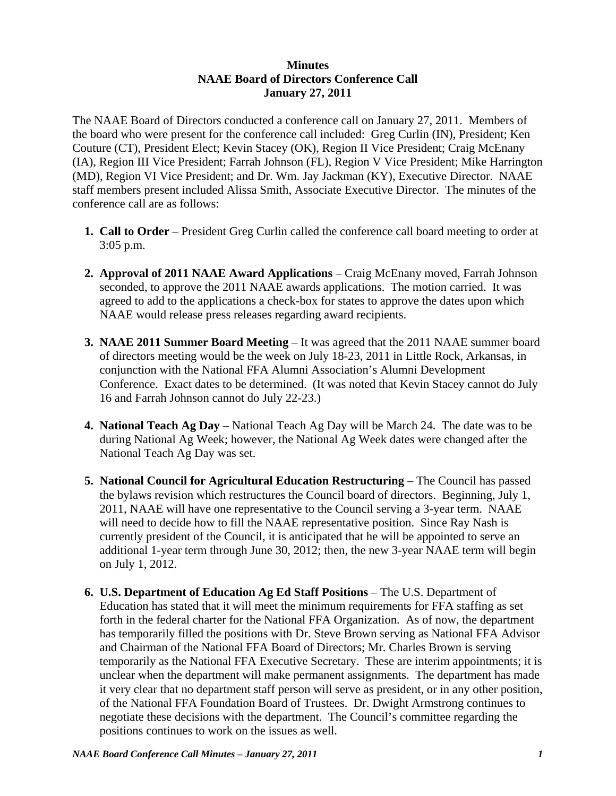## **Minutes NAAE Board of Directors Conference Call January 27, 2011**

The NAAE Board of Directors conducted a conference call on January 27, 2011. Members of the board who were present for the conference call included: Greg Curlin (IN), President; Ken Couture (CT), President Elect; Kevin Stacey (OK), Region II Vice President; Craig McEnany (IA), Region III Vice President; Farrah Johnson (FL), Region V Vice President; Mike Harrington (MD), Region VI Vice President; and Dr. Wm. Jay Jackman (KY), Executive Director. NAAE staff members present included Alissa Smith, Associate Executive Director. The minutes of the conference call are as follows:

- **1. Call to Order** President Greg Curlin called the conference call board meeting to order at 3:05 p.m.
- **2. Approval of 2011 NAAE Award Applications** Craig McEnany moved, Farrah Johnson seconded, to approve the 2011 NAAE awards applications. The motion carried. It was agreed to add to the applications a check-box for states to approve the dates upon which NAAE would release press releases regarding award recipients.
- **3. NAAE 2011 Summer Board Meeting** It was agreed that the 2011 NAAE summer board of directors meeting would be the week on July 18-23, 2011 in Little Rock, Arkansas, in conjunction with the National FFA Alumni Association's Alumni Development Conference. Exact dates to be determined. (It was noted that Kevin Stacey cannot do July 16 and Farrah Johnson cannot do July 22-23.)
- **4. National Teach Ag Day** National Teach Ag Day will be March 24. The date was to be during National Ag Week; however, the National Ag Week dates were changed after the National Teach Ag Day was set.
- **5. National Council for Agricultural Education Restructuring** The Council has passed the bylaws revision which restructures the Council board of directors. Beginning, July 1, 2011, NAAE will have one representative to the Council serving a 3-year term. NAAE will need to decide how to fill the NAAE representative position. Since Ray Nash is currently president of the Council, it is anticipated that he will be appointed to serve an additional 1-year term through June 30, 2012; then, the new 3-year NAAE term will begin on July 1, 2012.
- **6. U.S. Department of Education Ag Ed Staff Positions** The U.S. Department of Education has stated that it will meet the minimum requirements for FFA staffing as set forth in the federal charter for the National FFA Organization. As of now, the department has temporarily filled the positions with Dr. Steve Brown serving as National FFA Advisor and Chairman of the National FFA Board of Directors; Mr. Charles Brown is serving temporarily as the National FFA Executive Secretary. These are interim appointments; it is unclear when the department will make permanent assignments. The department has made it very clear that no department staff person will serve as president, or in any other position, of the National FFA Foundation Board of Trustees. Dr. Dwight Armstrong continues to negotiate these decisions with the department. The Council's committee regarding the positions continues to work on the issues as well.